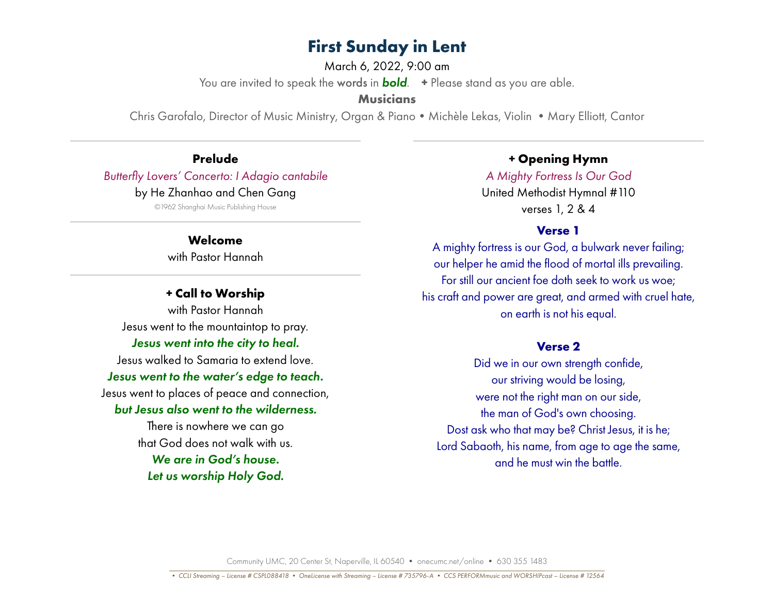March 6, 2022, 9:00 am

You are invited to speak the words in *bold*. **+** Please stand as you are able.

**Musicians**

Chris Garofalo, Director of Music Ministry, Organ & Piano • Michèle Lekas, Violin • Mary Elliott, Cantor

**Prelude** *Butterfly Lovers' Concerto: I Adagio cantabile* by He Zhanhao and Chen Gang

©1962 Shanghai Music Publishing House

### **Welcome**

with Pastor Hannah

### **+ Call to Worship**

with Pastor Hannah Jesus went to the mountaintop to pray. *Jesus went into the city to heal.* Jesus walked to Samaria to extend love. *Jesus went to the water's edge to teach.* Jesus went to places of peace and connection, *but Jesus also went to the wilderness.* There is nowhere we can go

that God does not walk with us. *We are in God's house. Let us worship Holy God.*

### **+ Opening Hymn**

*A Mighty Fortress Is Our God*  United Methodist Hymnal #110 verses 1, 2 & 4

#### **Verse 1**

A mighty fortress is our God, a bulwark never failing; our helper he amid the flood of mortal ills prevailing. For still our ancient foe doth seek to work us woe; his craft and power are great, and armed with cruel hate, on earth is not his equal.

#### **Verse 2**

Did we in our own strength confide, our striving would be losing, were not the right man on our side, the man of God's own choosing. Dost ask who that may be? Christ Jesus, it is he; Lord Sabaoth, his name, from age to age the same, and he must win the battle.

Community UMC, 20 Center St, Naperville, IL 60540 • onecumc.net/online • 630 355 1483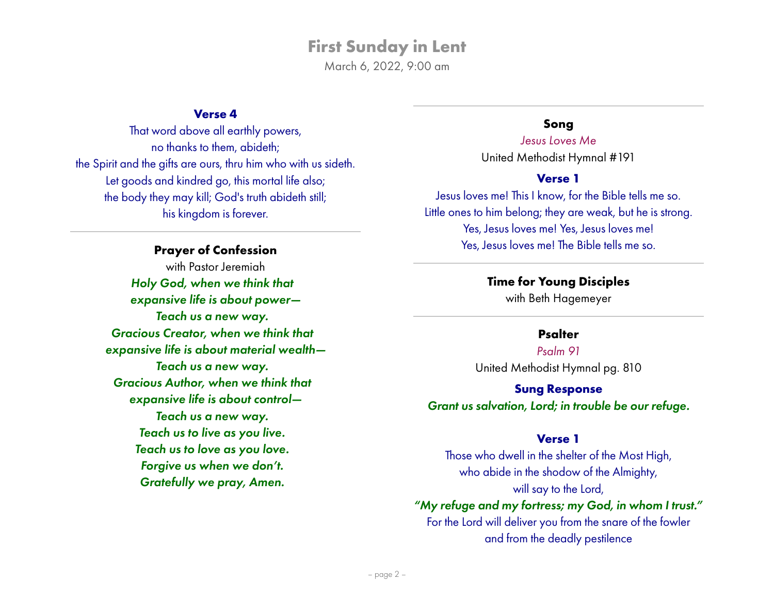March 6, 2022, 9:00 am

### **Verse 4**

That word above all earthly powers, no thanks to them, abideth; the Spirit and the gifts are ours, thru him who with us sideth. Let goods and kindred go, this mortal life also; the body they may kill; God's truth abideth still; his kingdom is forever.

#### **Prayer of Confession**

with Pastor Jeremiah *Holy God, when we think that expansive life is about power— Teach us a new way. Gracious Creator, when we think that expansive life is about material wealth— Teach us a new way. Gracious Author, when we think that expansive life is about control— Teach us a new way. Teach us to live as you live. Teach us to love as you love. Forgive us when we don't. Gratefully we pray, Amen.*

### **Song**

*Jesus Loves Me* United Methodist Hymnal #191

#### **Verse 1**

Jesus loves me! This I know, for the Bible tells me so. Little ones to him belong; they are weak, but he is strong. Yes, Jesus loves me! Yes, Jesus loves me! Yes, Jesus loves me! The Bible tells me so.

### **Time for Young Disciples**

with Beth Hagemeyer

### **Psalter**

*Psalm 91* United Methodist Hymnal pg. 810

**Sung Response** *Grant us salvation, Lord; in trouble be our refuge.*

#### **Verse 1**

Those who dwell in the shelter of the Most High, who abide in the shodow of the Almighty, will say to the Lord,

### *"My refuge and my fortress; my God, in whom I trust."*

For the Lord will deliver you from the snare of the fowler and from the deadly pestilence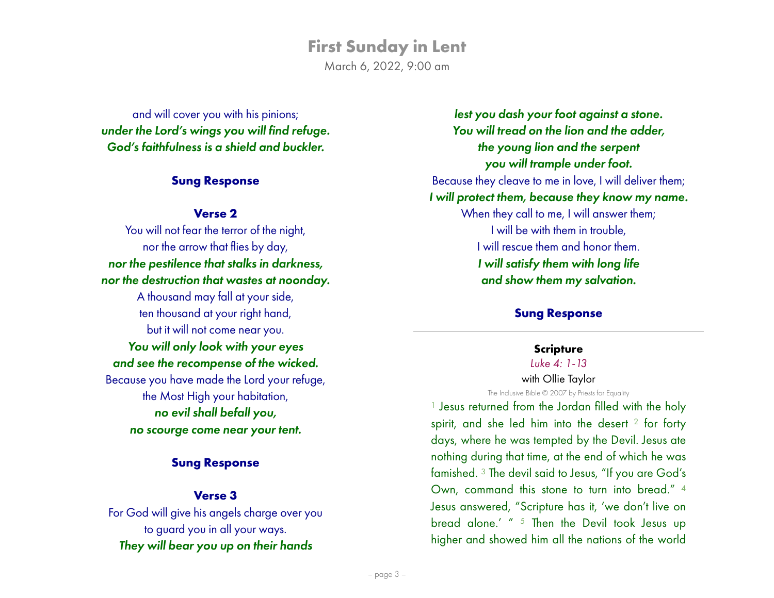March 6, 2022, 9:00 am

and will cover you with his pinions; *under the Lord's wings you will find refuge. God's faithfulness is a shield and buckler.*

### **Sung Response**

### **Verse 2**

You will not fear the terror of the night, nor the arrow that flies by day, *nor the pestilence that stalks in darkness, nor the destruction that wastes at noonday.* A thousand may fall at your side, ten thousand at your right hand, but it will not come near you. *You will only look with your eyes and see the recompense of the wicked.* Because you have made the Lord your refuge, the Most High your habitation, *no evil shall befall you, no scourge come near your tent.*

### **Sung Response**

### **Verse 3**

For God will give his angels charge over you to guard you in all your ways. *They will bear you up on their hands*

*lest you dash your foot against a stone. You will tread on the lion and the adder, the young lion and the serpent you will trample under foot.* Because they cleave to me in love, I will deliver them; *I will protect them, because they know my name.* When they call to me, I will answer them; I will be with them in trouble, I will rescue them and honor them. *I will satisfy them with long life and show them my salvation.*

### **Sung Response**

# **Scripture**

### *Luke 4: 1-13*

with Ollie Taylor The Inclusive Bible © 2007 by Priests for Equality

<sup>1</sup> Jesus returned from the Jordan filled with the holy spirit, and she led him into the desert <sup>2</sup> for forty days, where he was tempted by the Devil. Jesus ate nothing during that time, at the end of which he was famished. 3 The devil said to Jesus, "If you are God's Own, command this stone to turn into bread." 4 Jesus answered, "Scripture has it, 'we don't live on bread alone.' " 5 Then the Devil took Jesus up higher and showed him all the nations of the world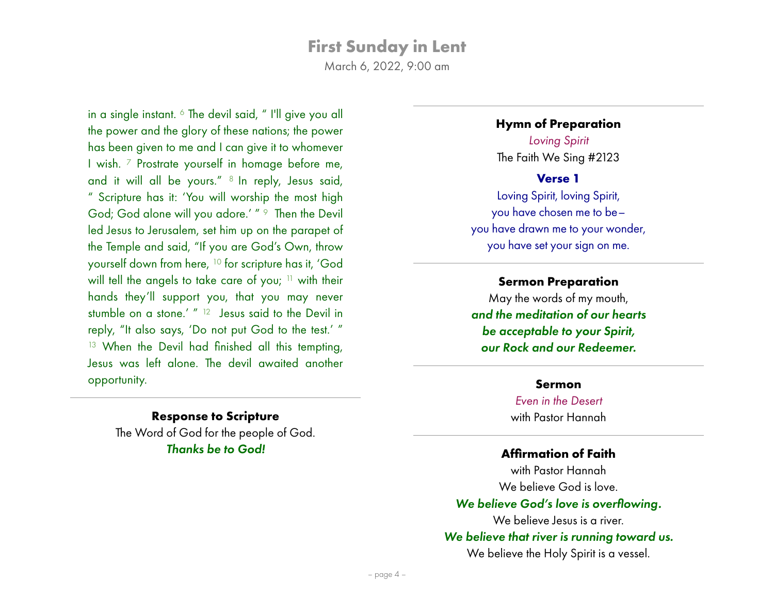March 6, 2022, 9:00 am

in a single instant. 6 The devil said, " I'll give you all the power and the glory of these nations; the power has been given to me and I can give it to whomever I wish. 7 Prostrate yourself in homage before me, and it will all be yours." 8 In reply, Jesus said, " Scripture has it: 'You will worship the most high God; God alone will you adore.' " 9 Then the Devil led Jesus to Jerusalem, set him up on the parapet of the Temple and said, "If you are God's Own, throw yourself down from here, 10 for scripture has it, 'God will tell the angels to take care of you; <sup>11</sup> with their hands they'll support you, that you may never stumble on a stone.' " <sup>12</sup> Jesus said to the Devil in reply, "It also says, 'Do not put God to the test.' " <sup>13</sup> When the Devil had finished all this tempting, Jesus was left alone. The devil awaited another opportunity.

#### **Hymn of Preparation**

*Loving Spirit*  The Faith We Sing #2123

#### **Verse 1**

Loving Spirit, loving Spirit, you have chosen me to be– you have drawn me to your wonder, you have set your sign on me.

### **Sermon Preparation**

May the words of my mouth, *and the meditation of our hearts be acceptable to your Spirit, our Rock and our Redeemer.*

#### **Sermon**

*Even in the Desert* with Pastor Hannah

### **Affirmation of Faith**

with Pastor Hannah We believe God is love. *We believe God's love is overflowing.* We believe Jesus is a river. *We believe that river is running toward us.* We believe the Holy Spirit is a vessel.

**Response to Scripture** The Word of God for the people of God. *Thanks be to God!*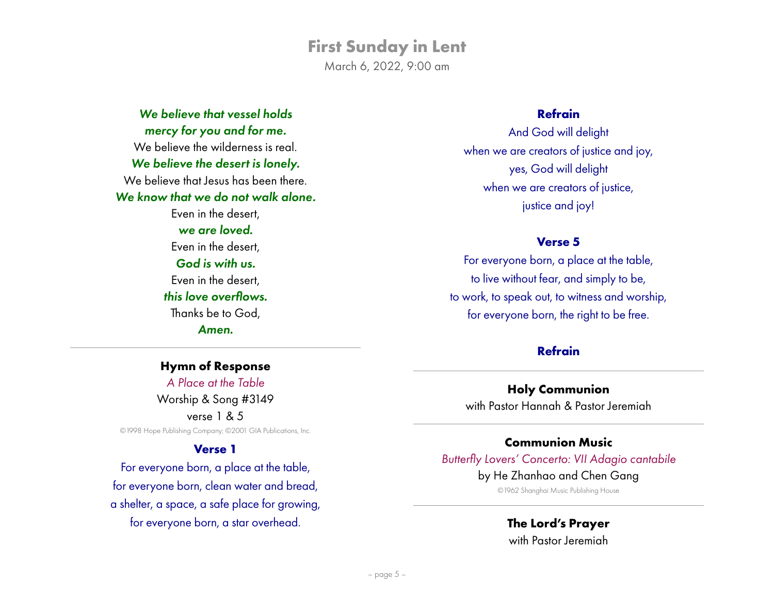March 6, 2022, 9:00 am

*We believe that vessel holds mercy for you and for me.* We believe the wilderness is real. *We believe the desert is lonely.* We believe that Jesus has been there. *We know that we do not walk alone.* Even in the desert, *we are loved.* Even in the desert, *God is with us.* Even in the desert, *this love overflows.* Thanks be to God, *Amen.*

**Hymn of Response** *A Place at the Table* Worship & Song #3149 verse 1 & 5 ©1998 Hope Publishing Company; ©2001 GIA Publications, Inc.

#### **Verse 1**

For everyone born, a place at the table, for everyone born, clean water and bread, a shelter, a space, a safe place for growing, for everyone born, a star overhead.

### **Refrain**

And God will delight when we are creators of justice and joy, yes, God will delight when we are creators of justice, justice and joy!

#### **Verse 5**

For everyone born, a place at the table, to live without fear, and simply to be, to work, to speak out, to witness and worship, for everyone born, the right to be free.

### **Refrain**

### **Holy Communion**

with Pastor Hannah & Pastor Jeremiah

### **Communion Music**

### *Butterfly Lovers' Concerto: VII Adagio cantabile*

#### by He Zhanhao and Chen Gang

©1962 Shanghai Music Publishing House

### **The Lord's Prayer**

with Pastor Jeremiah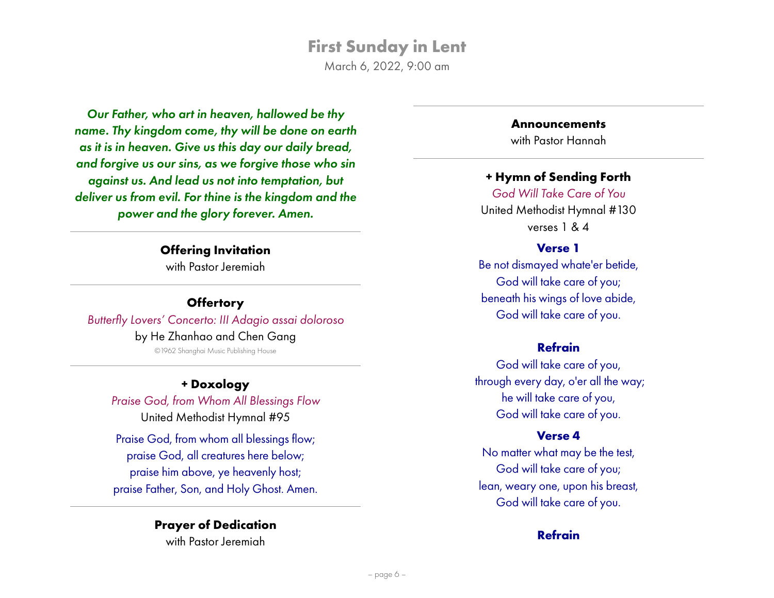March 6, 2022, 9:00 am

*Our Father, who art in heaven, hallowed be thy name. Thy kingdom come, thy will be done on earth as it is in heaven. Give us this day our daily bread, and forgive us our sins, as we forgive those who sin against us. And lead us not into temptation, but deliver us from evil. For thine is the kingdom and the power and the glory forever. Amen.*

### **Offering Invitation**

with Pastor Jeremiah

### **Offertory** *Butterfly Lovers' Concerto: III Adagio assai doloroso* by He Zhanhao and Chen Gang ©1962 Shanghai Music Publishing House

### **+ Doxology**

*Praise God, from Whom All Blessings Flow* United Methodist Hymnal #95

Praise God, from whom all blessings flow; praise God, all creatures here below; praise him above, ye heavenly host; praise Father, Son, and Holy Ghost. Amen.

# **Prayer of Dedication**

with Pastor Jeremiah

### **Announcements**

with Pastor Hannah

### **+ Hymn of Sending Forth**

*God Will Take Care of You* United Methodist Hymnal #130 verses 1 & 4

### **Verse 1**

Be not dismayed whate'er betide, God will take care of you; beneath his wings of love abide, God will take care of you.

### **Refrain**

God will take care of you, through every day, o'er all the way; he will take care of you, God will take care of you.

### **Verse 4**

No matter what may be the test, God will take care of you; lean, weary one, upon his breast, God will take care of you.

### **Refrain**